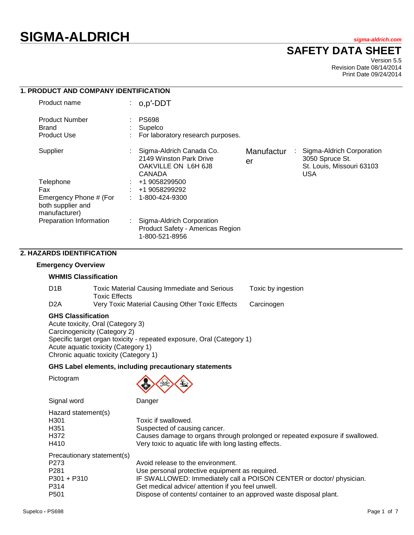# **SIGMA-ALDRICH** *sigma-aldrich.com*

# **SAFETY DATA SHEET**

Version 5.5 Revision Date 08/14/2014 Print Date 09/24/2014

| <b>1. PRODUCT AND COMPANY IDENTIFICATION</b>                 |    |                                                                                      |                  |   |                                                                                  |
|--------------------------------------------------------------|----|--------------------------------------------------------------------------------------|------------------|---|----------------------------------------------------------------------------------|
| Product name                                                 |    | o,p'-DDT                                                                             |                  |   |                                                                                  |
| <b>Product Number</b><br>Brand<br><b>Product Use</b>         |    | <b>PS698</b><br>Supelco<br>For laboratory research purposes.                         |                  |   |                                                                                  |
| Supplier                                                     |    | Sigma-Aldrich Canada Co.<br>2149 Winston Park Drive<br>OAKVILLE ON L6H 6J8<br>CANADA | Manufactur<br>er | ÷ | Sigma-Aldrich Corporation<br>3050 Spruce St.<br>St. Louis, Missouri 63103<br>USA |
| Telephone<br>Fax                                             |    | +1 9058299500<br>+1 9058299292                                                       |                  |   |                                                                                  |
| Emergency Phone # (For<br>both supplier and<br>manufacturer) |    | 1-800-424-9300                                                                       |                  |   |                                                                                  |
| Preparation Information                                      | ÷. | Sigma-Aldrich Corporation<br>Product Safety - Americas Region<br>1-800-521-8956      |                  |   |                                                                                  |

# **2. HAZARDS IDENTIFICATION**

### **Emergency Overview**

### **WHMIS Classification**

| D <sub>1</sub> B | Toxic Material Causing Immediate and Serious<br><b>Toxic Effects</b> | Toxic by ingestion |
|------------------|----------------------------------------------------------------------|--------------------|
| D <sub>2</sub> A | Very Toxic Material Causing Other Toxic Effects                      | Carcinogen         |

# **GHS Classification**

Signal word Danger

Acute toxicity, Oral (Category 3) Carcinogenicity (Category 2) Specific target organ toxicity - repeated exposure, Oral (Category 1) Acute aquatic toxicity (Category 1) Chronic aquatic toxicity (Category 1)

### **GHS Label elements, including precautionary statements**

Pictogram



| Hazard statement(s)        |                                                                              |
|----------------------------|------------------------------------------------------------------------------|
| H301                       | Toxic if swallowed.                                                          |
| H351                       | Suspected of causing cancer.                                                 |
| H372                       | Causes damage to organs through prolonged or repeated exposure if swallowed. |
| H410                       | Very toxic to aquatic life with long lasting effects.                        |
| Precautionary statement(s) |                                                                              |
| P273                       | Avoid release to the environment.                                            |
| P281                       | Use personal protective equipment as required.                               |
| P301 + P310                | IF SWALLOWED: Immediately call a POISON CENTER or doctor/ physician.         |
| P314                       | Get medical advice/ attention if you feel unwell.                            |
| P501                       | Dispose of contents/ container to an approved waste disposal plant.          |
|                            |                                                                              |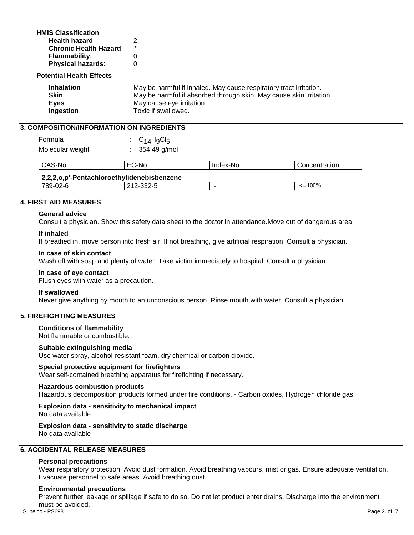| <b>HMIS Classification</b>    |         |
|-------------------------------|---------|
| Health hazard:                | 2       |
| <b>Chronic Health Hazard:</b> | $\star$ |
| <b>Flammability:</b>          | 0       |
| <b>Physical hazards:</b>      | O       |
|                               |         |

### **Potential Health Effects**

| <b>Inhalation</b> | May be harmful if inhaled. May cause respiratory tract irritation.  |
|-------------------|---------------------------------------------------------------------|
| Skin              | May be harmful if absorbed through skin. May cause skin irritation. |
| <b>Eves</b>       | May cause eye irritation.                                           |
| Ingestion         | Toxic if swallowed.                                                 |

# **3. COMPOSITION/INFORMATION ON INGREDIENTS**

| Formula          | : $C_{14}H_9Cl_5$ |
|------------------|-------------------|
| Molecular weight | $: 354.49$ g/mol  |

| CAS-No.                                          | EC-No. | Index-No. | Concentration |  |  |
|--------------------------------------------------|--------|-----------|---------------|--|--|
| 2,2,2,o,p'-Pentachloroethylidenebisbenzene       |        |           |               |  |  |
| $\epsilon = 100\%$<br>789-02-6<br>212-332-5<br>- |        |           |               |  |  |

# **4. FIRST AID MEASURES**

### **General advice**

Consult a physician. Show this safety data sheet to the doctor in attendance.Move out of dangerous area.

### **If inhaled**

If breathed in, move person into fresh air. If not breathing, give artificial respiration. Consult a physician.

#### **In case of skin contact**

Wash off with soap and plenty of water. Take victim immediately to hospital. Consult a physician.

### **In case of eye contact**

Flush eyes with water as a precaution.

### **If swallowed**

Never give anything by mouth to an unconscious person. Rinse mouth with water. Consult a physician.

# **5. FIREFIGHTING MEASURES**

### **Conditions of flammability**

Not flammable or combustible.

### **Suitable extinguishing media**

Use water spray, alcohol-resistant foam, dry chemical or carbon dioxide.

# **Special protective equipment for firefighters**

Wear self-contained breathing apparatus for firefighting if necessary.

### **Hazardous combustion products**

Hazardous decomposition products formed under fire conditions. - Carbon oxides, Hydrogen chloride gas

#### **Explosion data - sensitivity to mechanical impact** No data available

### **Explosion data - sensitivity to static discharge** No data available

# **6. ACCIDENTAL RELEASE MEASURES**

### **Personal precautions**

Wear respiratory protection. Avoid dust formation. Avoid breathing vapours, mist or gas. Ensure adequate ventilation. Evacuate personnel to safe areas. Avoid breathing dust.

### **Environmental precautions**

Supelco **-** PS698 Page 2 of 7 Prevent further leakage or spillage if safe to do so. Do not let product enter drains. Discharge into the environment must be avoided.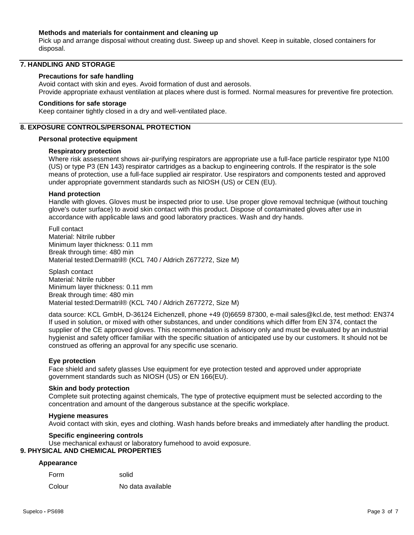# **Methods and materials for containment and cleaning up**

Pick up and arrange disposal without creating dust. Sweep up and shovel. Keep in suitable, closed containers for disposal.

# **7. HANDLING AND STORAGE**

### **Precautions for safe handling**

Avoid contact with skin and eyes. Avoid formation of dust and aerosols. Provide appropriate exhaust ventilation at places where dust is formed. Normal measures for preventive fire protection.

### **Conditions for safe storage**

Keep container tightly closed in a dry and well-ventilated place.

# **8. EXPOSURE CONTROLS/PERSONAL PROTECTION**

### **Personal protective equipment**

### **Respiratory protection**

Where risk assessment shows air-purifying respirators are appropriate use a full-face particle respirator type N100 (US) or type P3 (EN 143) respirator cartridges as a backup to engineering controls. If the respirator is the sole means of protection, use a full-face supplied air respirator. Use respirators and components tested and approved under appropriate government standards such as NIOSH (US) or CEN (EU).

### **Hand protection**

Handle with gloves. Gloves must be inspected prior to use. Use proper glove removal technique (without touching glove's outer surface) to avoid skin contact with this product. Dispose of contaminated gloves after use in accordance with applicable laws and good laboratory practices. Wash and dry hands.

Full contact Material: Nitrile rubber Minimum layer thickness: 0.11 mm Break through time: 480 min Material tested:Dermatril® (KCL 740 / Aldrich Z677272, Size M)

Splash contact Material: Nitrile rubber Minimum layer thickness: 0.11 mm Break through time: 480 min Material tested:Dermatril® (KCL 740 / Aldrich Z677272, Size M)

data source: KCL GmbH, D-36124 Eichenzell, phone +49 (0)6659 87300, e-mail sales@kcl.de, test method: EN374 If used in solution, or mixed with other substances, and under conditions which differ from EN 374, contact the supplier of the CE approved gloves. This recommendation is advisory only and must be evaluated by an industrial hygienist and safety officer familiar with the specific situation of anticipated use by our customers. It should not be construed as offering an approval for any specific use scenario.

# **Eye protection**

Face shield and safety glasses Use equipment for eye protection tested and approved under appropriate government standards such as NIOSH (US) or EN 166(EU).

### **Skin and body protection**

Complete suit protecting against chemicals, The type of protective equipment must be selected according to the concentration and amount of the dangerous substance at the specific workplace.

### **Hygiene measures**

Avoid contact with skin, eyes and clothing. Wash hands before breaks and immediately after handling the product.

### **Specific engineering controls**

Use mechanical exhaust or laboratory fumehood to avoid exposure.

# **9. PHYSICAL AND CHEMICAL PROPERTIES**

### **Appearance**

| Form   | solid             |
|--------|-------------------|
| Colour | No data available |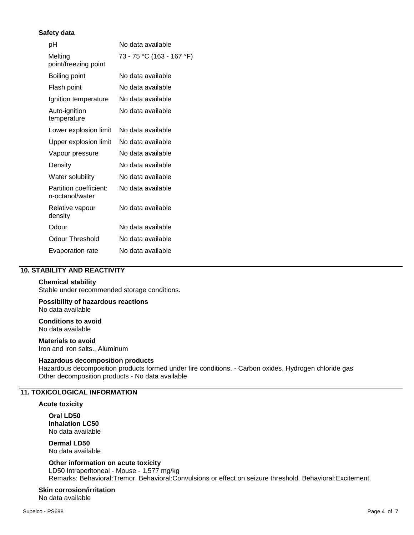# **Safety data**

| рH                                        | No data available         |
|-------------------------------------------|---------------------------|
| Melting<br>point/freezing point           | 73 - 75 °C (163 - 167 °F) |
| Boiling point                             | No data available         |
| Flash point                               | No data available         |
| Ignition temperature                      | No data available         |
| Auto-ignition<br>temperature              | No data available         |
| Lower explosion limit                     | No data available         |
| Upper explosion limit                     | No data available         |
| Vapour pressure                           | No data available         |
| Density                                   | No data available         |
| Water solubility                          | No data available         |
| Partition coefficient:<br>n-octanol/water | No data available         |
| Relative vapour<br>density                | No data available         |
| Odour                                     | No data available         |
| Odour Threshold                           | No data available         |
| Evaporation rate                          | No data available         |

# **10. STABILITY AND REACTIVITY**

# **Chemical stability**

Stable under recommended storage conditions.

### **Possibility of hazardous reactions** No data available

**Conditions to avoid** No data available

**Materials to avoid** Iron and iron salts., Aluminum

# **Hazardous decomposition products**

Hazardous decomposition products formed under fire conditions. - Carbon oxides, Hydrogen chloride gas Other decomposition products - No data available

# **11. TOXICOLOGICAL INFORMATION**

### **Acute toxicity**

**Oral LD50 Inhalation LC50** No data available

**Dermal LD50** No data available

### **Other information on acute toxicity**

LD50 Intraperitoneal - Mouse - 1,577 mg/kg Remarks: Behavioral:Tremor. Behavioral:Convulsions or effect on seizure threshold. Behavioral:Excitement.

**Skin corrosion/irritation**

No data available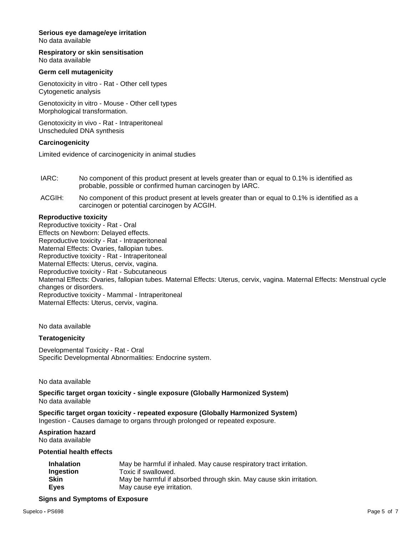# **Serious eye damage/eye irritation**

No data available

**Respiratory or skin sensitisation** No data available

# **Germ cell mutagenicity**

Genotoxicity in vitro - Rat - Other cell types Cytogenetic analysis

Genotoxicity in vitro - Mouse - Other cell types Morphological transformation.

Genotoxicity in vivo - Rat - Intraperitoneal Unscheduled DNA synthesis

### **Carcinogenicity**

Limited evidence of carcinogenicity in animal studies

- IARC: No component of this product present at levels greater than or equal to 0.1% is identified as probable, possible or confirmed human carcinogen by IARC.
- ACGIH: No component of this product present at levels greater than or equal to 0.1% is identified as a carcinogen or potential carcinogen by ACGIH.

### **Reproductive toxicity**

Reproductive toxicity - Rat - Oral Effects on Newborn: Delayed effects. Reproductive toxicity - Rat - Intraperitoneal Maternal Effects: Ovaries, fallopian tubes. Reproductive toxicity - Rat - Intraperitoneal Maternal Effects: Uterus, cervix, vagina. Reproductive toxicity - Rat - Subcutaneous Maternal Effects: Ovaries, fallopian tubes. Maternal Effects: Uterus, cervix, vagina. Maternal Effects: Menstrual cycle changes or disorders. Reproductive toxicity - Mammal - Intraperitoneal Maternal Effects: Uterus, cervix, vagina.

No data available

# **Teratogenicity**

Developmental Toxicity - Rat - Oral Specific Developmental Abnormalities: Endocrine system.

No data available

**Specific target organ toxicity - single exposure (Globally Harmonized System)** No data available

# **Specific target organ toxicity - repeated exposure (Globally Harmonized System)**

Ingestion - Causes damage to organs through prolonged or repeated exposure.

# **Aspiration hazard**

No data available

**Potential health effects**

| May be harmful if inhaled. May cause respiratory tract irritation.  |
|---------------------------------------------------------------------|
| Toxic if swallowed.                                                 |
| May be harmful if absorbed through skin. May cause skin irritation. |
| May cause eye irritation.                                           |
|                                                                     |

### **Signs and Symptoms of Exposure**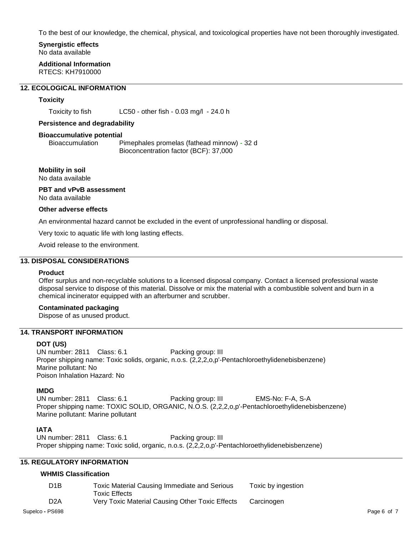To the best of our knowledge, the chemical, physical, and toxicological properties have not been thoroughly investigated.

### **Synergistic effects** No data available

**Additional Information** RTECS: KH7910000

# **12. ECOLOGICAL INFORMATION**

# **Toxicity**

Toxicity to fish LC50 - other fish - 0.03 mg/l - 24.0 h

### **Persistence and degradability**

#### **Bioaccumulative potential**

Bioaccumulation Pimephales promelas (fathead minnow) - 32 d Bioconcentration factor (BCF): 37,000

# **Mobility in soil**

No data available

# **PBT and vPvB assessment** No data available

### **Other adverse effects**

An environmental hazard cannot be excluded in the event of unprofessional handling or disposal.

Very toxic to aquatic life with long lasting effects.

Avoid release to the environment.

# **13. DISPOSAL CONSIDERATIONS**

### **Product**

Offer surplus and non-recyclable solutions to a licensed disposal company. Contact a licensed professional waste disposal service to dispose of this material. Dissolve or mix the material with a combustible solvent and burn in a chemical incinerator equipped with an afterburner and scrubber.

# **Contaminated packaging**

Dispose of as unused product.

# **14. TRANSPORT INFORMATION**

# **DOT (US)**

UN number: 2811 Class: 6.1 Packing group: III Proper shipping name: Toxic solids, organic, n.o.s. (2,2,2,0,p'-Pentachloroethylidenebisbenzene) Marine pollutant: No Poison Inhalation Hazard: No

# **IMDG**

UN number: 2811 Class: 6.1 Packing group: III EMS-No: F-A, S-A Proper shipping name: TOXIC SOLID, ORGANIC, N.O.S. (2,2,2,0,p'-Pentachloroethylidenebisbenzene) Marine pollutant: Marine pollutant

# **IATA**

UN number: 2811 Class: 6.1 Packing group: III Proper shipping name: Toxic solid, organic, n.o.s. (2,2,2,o,p'-Pentachloroethylidenebisbenzene)

# **15. REGULATORY INFORMATION**

# **WHMIS Classification**

| D <sub>1</sub> B | Toxic Material Causing Immediate and Serious    | Toxic by ingestion |
|------------------|-------------------------------------------------|--------------------|
|                  | <b>Toxic Effects</b>                            |                    |
| D <sub>2</sub> A | Very Toxic Material Causing Other Toxic Effects | Carcinogen         |